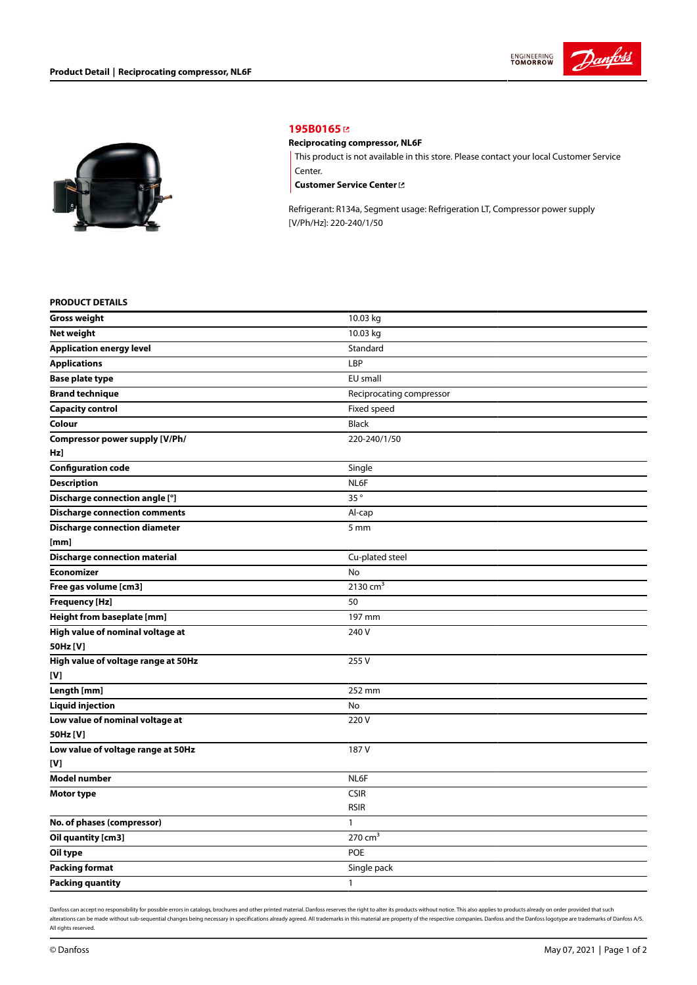



# **[195B0165](https://store.danfoss.com/en/Climate-Solutions-for-cooling/Compressors/Compressors-for-Refrigeration/Danfoss-Light-Commercial-Refrigeration-Compressors/Reciprocating-compressor%2C-NL6F/p/195B0165)**

## **Reciprocating compressor, NL6F**

This product is not available in this store. Please contact your local Customer Service Center.

**[Customer](https://store.danfoss.com/en/customer-service) Service Center**

Refrigerant: R134a, Segment usage: Refrigeration LT, Compressor power supply [V/Ph/Hz]: 220-240/1/50

#### **PRODUCT DETAILS**

| <b>Gross weight</b>                  | 10.03 kg                 |
|--------------------------------------|--------------------------|
| <b>Net weight</b>                    | 10.03 kg                 |
| <b>Application energy level</b>      | Standard                 |
| <b>Applications</b>                  | LBP                      |
| <b>Base plate type</b>               | EU small                 |
| <b>Brand technique</b>               | Reciprocating compressor |
| <b>Capacity control</b>              | Fixed speed              |
| Colour                               | <b>Black</b>             |
| Compressor power supply [V/Ph/       | 220-240/1/50             |
| Hz]                                  |                          |
| <b>Configuration code</b>            | Single                   |
| <b>Description</b>                   | NL6F                     |
| Discharge connection angle [°]       | 35°                      |
| <b>Discharge connection comments</b> | Al-cap                   |
| <b>Discharge connection diameter</b> | 5 mm                     |
| [mm]                                 |                          |
| <b>Discharge connection material</b> | Cu-plated steel          |
| <b>Economizer</b>                    | No                       |
| Free gas volume [cm3]                | 2130 $cm3$               |
| <b>Frequency [Hz]</b>                | 50                       |
| Height from baseplate [mm]           | 197 mm                   |
| High value of nominal voltage at     | 240 V                    |
| 50Hz [V]                             |                          |
| High value of voltage range at 50Hz  | 255 V                    |
| [V]                                  |                          |
| Length [mm]                          | 252 mm                   |
| <b>Liquid injection</b>              | No                       |
| Low value of nominal voltage at      | 220V                     |
| 50Hz [V]                             |                          |
| Low value of voltage range at 50Hz   | 187 V                    |
| [V]                                  |                          |
| <b>Model number</b>                  | NL6F                     |
| Motor type                           | CSIR                     |
|                                      | <b>RSIR</b>              |
| No. of phases (compressor)           | $\mathbf{1}$             |
| Oil quantity [cm3]                   | $270 \text{ cm}^3$       |
| Oil type                             | <b>POE</b>               |
| <b>Packing format</b>                | Single pack              |
| <b>Packing quantity</b>              | $\mathbf{1}$             |

Danfoss can accept no responsibility for possible errors in catalogs, brochures and other printed material. Danfoss reserves the right to alter its products without notice. This also applies to products already on order pr alterations can be made without sub-sequential changes being necessary in specifications already agreed. All trademarks in this material are property of the respective companies. Danfoss and the Danfoss logotype are tradem All rights reserved.